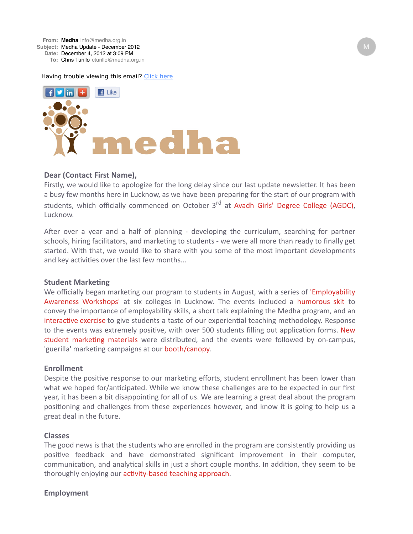Having trouble viewing this email? [Click here](http://campaign.r20.constantcontact.com/render?llr=ithvoqiab&v=0018lFCxjd71KNnWcWP6AU3dywXepeZo5x1QPpV-wzMERWJ9om3CQq1QzbZAyaK4eSi8_uHa01Ny4V1IFXtUNpPR940qCjbkrlD7Zx6Hi6ZhEvAc-0URsKQsiyKJPw4kJkjIOMudCIO8AJx-mwnAJgswMxhZCJ0_ARVDYtf8KyMyfJQIhSMfUBTlSuqusVxja8T3n5jugluCUAwuJ0HgnuH1yKAwf71UNwwsn4VQyW6mFvjvrde80feTiIiFt8sG7xzPHqCfTQNBBwx8kXbkCZzH9Tnac_N6Fg2xazyD9DSMLz3HBMgo2SWQQY276X70Q9RIGeyju3uUW_0SanwR8rOlcFWMSKOMDqVV62J9E8fu53kSAasIkKuOPD9J8qjzrGo_JeExYCFa4WmIYbo4MFvrAQimQAzDgfZVrxgzTamresYqmHodfkLUTz7pjV-x_RjuBpfU7gWutYSpSZ3LO77yFJAavcgtRSV&id=preview)



## Dear (Contact First Name),

Firstly, we would like to apologize for the long delay since our last update newsletter. It has been a busy few months here in Lucknow, as we have been preparing for the start of our program with students, which officially commenced on October 3rd at Avadh Girls' Degree College (AGDC), Lucknow.

After over a year and a half of planning - developing the curriculum, searching for partner schools, hiring facilitators, and marketing to students - we were all more than ready to finally get started. With that, we would like to share with you some of the most important developments and key activities over the last few months...

### **Student Marketing**

We officially began marketing our program to students in August, with a series of 'Employability Awareness Workshops' at six colleges in Lucknow. The events included a humorous skit to convey the importance of employability skills, a short talk explaining the Medha program, and an interactive exercise to give students a taste of our experiential teaching methodology. Response to the events was extremely positive, with over 500 students filling out application forms. New student marketing materials were distributed, and the events were followed by on-campus, 'guerilla' marketing campaigns at our booth/canopy.

### **Enrollment**

Despite the positive response to our marketing efforts, student enrollment has been lower than what we hoped for/anticipated. While we know these challenges are to be expected in our first year, it has been a bit disappointing for all of us. We are learning a great deal about the program positioning and challenges from these experiences however, and know it is going to help us a great deal in the future.

### **Classes**

The good news is that the students who are enrolled in the program are consistently providing us positive feedback and have demonstrated significant improvement in their computer, communication, and analytical skills in just a short couple months. In addition, they seem to be thoroughly enjoying our activity-based teaching approach.

### **Employment**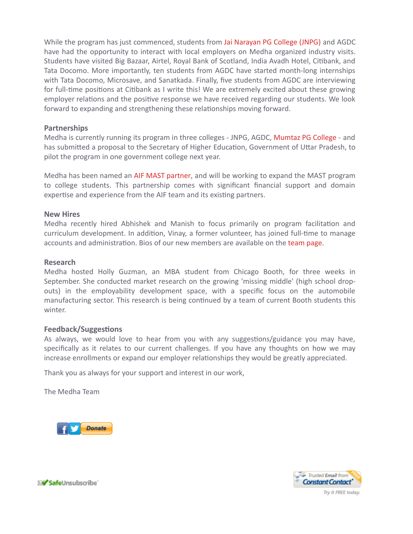While the program has just commenced, students from Jai Narayan PG College (JNPG) and AGDC have had the opportunity to interact with local employers on Medha organized industry visits. Students have visited Big Bazaar, Airtel, Royal Bank of Scotland, India Avadh Hotel, Citibank, and Tata Docomo. More importantly, ten students from AGDC have started month-long internships with Tata Docomo, Microsave, and Sanatkada. Finally, five students from AGDC are interviewing for full-time positions at Citibank as I write this! We are extremely excited about these growing employer relations and the positive response we have received regarding our students. We look forward to expanding and strengthening these relationships moving forward.

## **Partnerships**

Medha is currently running its program in three colleges - JNPG, AGDC, Mumtaz PG College - and has submitted a proposal to the Secretary of Higher Education, Government of Uttar Pradesh, to pilot the program in one government college next year.

Medha has been named an AIF MAST partner, and will be working to expand the MAST program to college students. This partnership comes with significant financial support and domain expertise and experience from the AIF team and its existing partners.

## **New Hires**

Medha recently hired Abhishek and Manish to focus primarily on program facilitation and curriculum development. In addition, Vinay, a former volunteer, has joined full-time to manage accounts and administration. Bios of our new members are available on the team page.

## **Research**

Medha hosted Holly Guzman, an MBA student from Chicago Booth, for three weeks in September. She conducted market research on the growing 'missing middle' (high school dropouts) in the employability development space, with a specific focus on the automobile manufacturing sector. This research is being continued by a team of current Booth students this winter.

## **Feedback/Suggestions**

As always, we would love to hear from you with any suggestions/guidance you may have, specifically as it relates to our current challenges. If you have any thoughts on how we may increase enrollments or expand our employer relationships they would be greatly appreciated.

Thank you as always for your support and interest in our work,

The Medha Team





X**√ Safe**Unsubscribe`

Try it FREE today.